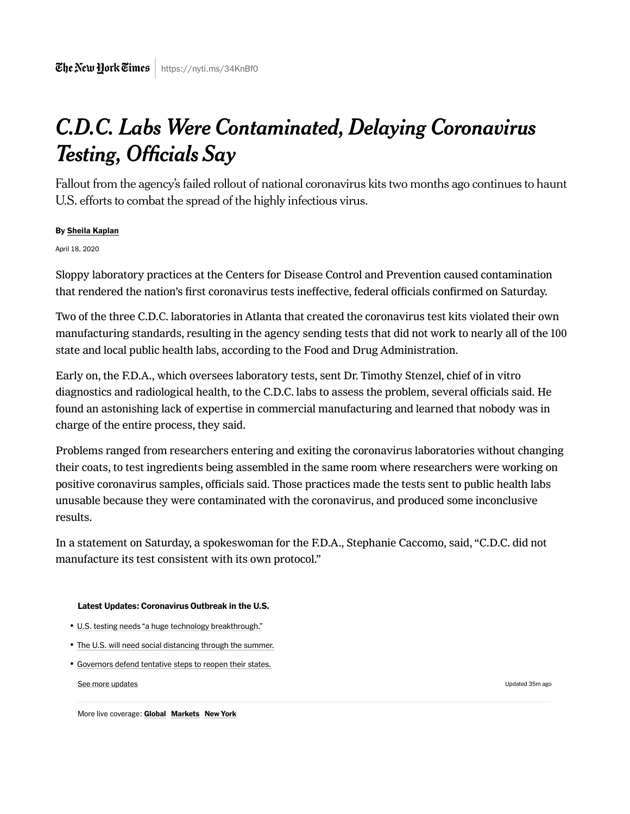# *C.D.C. Labs Were Contaminated, Delaying Coronavirus Testing, Officials Say*

Fallout from the agency's failed rollout of national coronavirus kits two months ago continues to haunt U.S. efforts to combat the spread of the highly infectious virus.

### **By Sheila Kaplan**

April 18, 2020

Sloppy laboratory practices at the Centers for Disease Control and Prevention caused contamination that rendered the nation's first coronavirus tests ineffective, federal officials confirmed on Saturday.

Two of the three C.D.C. laboratories in Atlanta that created the coronavirus test kits violated their own manufacturing standards, resulting in the agency sending tests that did not work to nearly all of the 100 state and local public health labs, according to the Food and Drug Administration.

Early on, the F.D.A., which oversees laboratory tests, sent Dr. Timothy Stenzel, chief of in vitro diagnostics and radiological health, to the C.D.C. labs to assess the problem, several officials said. He found an astonishing lack of expertise in commercial manufacturing and learned that nobody was in charge of the entire process, they said.

Problems ranged from researchers entering and exiting the coronavirus laboratories without changing their coats, to test ingredients being assembled in the same room where researchers were working on positive coronavirus samples, officials said. Those practices made the tests sent to public health labs unusable because they were contaminated with the coronavirus, and produced some inconclusive results.

In a statement on Saturday, a spokeswoman for the F.D.A., Stephanie Caccomo, said, "C.D.C. did not manufacture its test consistent with its own protocol."

#### **Latest Updates: Coronavirus Outbreak in the U.S.**

- U.S. testing needs "a huge technology breakthrough."
- The U.S. will need social distancing through the summer.
- Governors defend tentative steps to reopen their states. •

See more updates Updated 35m ago Updated 35m ago Updated 35m ago Updated 35m ago Updated 35m ago

More live coverage: **Global Markets New York**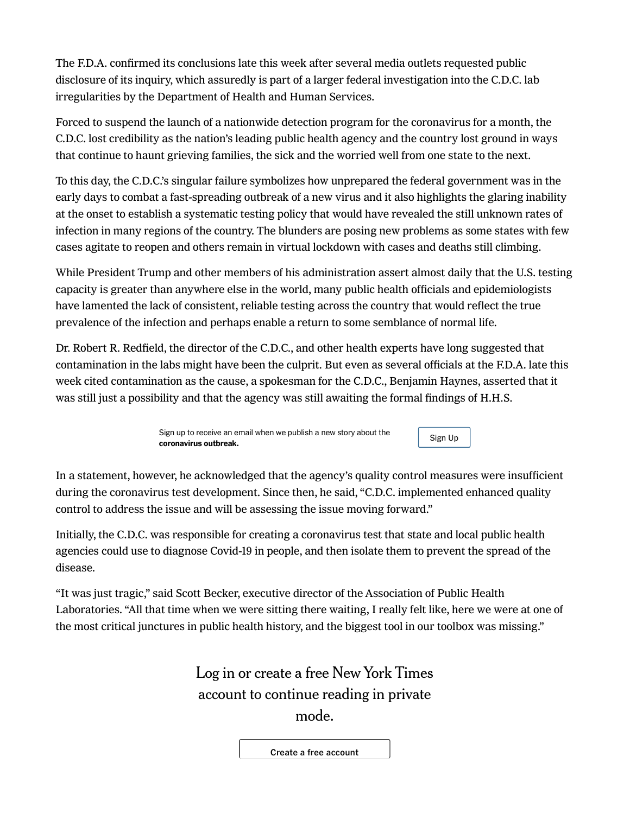The F.D.A. confirmed its conclusions late this week after several media outlets requested public disclosure of its inquiry, which assuredly is part of a larger federal investigation into the C.D.C. lab irregularities by the Department of Health and Human Services.

Forced to suspend the launch of a nationwide detection program for the coronavirus for a month, the C.D.C. lost credibility as the nation's leading public health agency and the country lost ground in ways that continue to haunt grieving families, the sick and the worried well from one state to the next.

To this day, the C.D.C.'s singular failure symbolizes how unprepared the federal government was in the early days to combat a fast-spreading outbreak of a new virus and it also highlights the glaring inability at the onset to establish a systematic testing policy that would have revealed the still unknown rates of infection in many regions of the country. The blunders are posing new problems as some states with few cases agitate to reopen and others remain in virtual lockdown with cases and deaths still climbing.

While President Trump and other members of his administration assert almost daily that the U.S. testing capacity is greater than anywhere else in the world, many public health officials and epidemiologists have lamented the lack of consistent, reliable testing across the country that would reflect the true prevalence of the infection and perhaps enable a return to some semblance of normal life.

Dr. Robert R. Redfield, the director of the C.D.C., and other health experts have long suggested that contamination in the labs might have been the culprit. But even as several officials at the F.D.A. late this week cited contamination as the cause, a spokesman for the C.D.C., Benjamin Haynes, asserted that it was still just a possibility and that the agency was still awaiting the formal findings of H.H.S.

> Sign up to receive an email when we publish a new story about the **coronavirus outbreak.** Sign Up coronavirus outbreak.

In a statement, however, he acknowledged that the agency's quality control measures were insufficient during the coronavirus test development. Since then, he said, "C.D.C. implemented enhanced quality control to address the issue and will be assessing the issue moving forward."

Initially, the C.D.C. was responsible for creating a coronavirus test that state and local public health agencies could use to diagnose Covid-19 in people, and then isolate them to prevent the spread of the disease.

"It was just tragic," said Scott Becker, executive director of the Association of Public Health Laboratories. "All that time when we were sitting there waiting, I really felt like, here we were at one of the most critical junctures in public health history, and the biggest tool in our toolbox was missing."

> Log in or create a free New York Times account to continue reading in private mode.

> > Create a free account